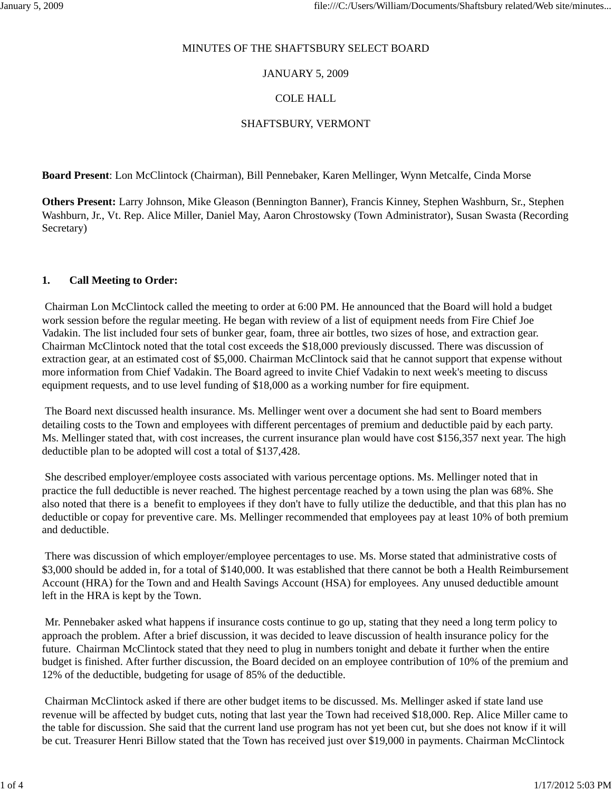### MINUTES OF THE SHAFTSBURY SELECT BOARD

## JANUARY 5, 2009

## COLE HALL

# SHAFTSBURY, VERMONT

**Board Present**: Lon McClintock (Chairman), Bill Pennebaker, Karen Mellinger, Wynn Metcalfe, Cinda Morse

**Others Present:** Larry Johnson, Mike Gleason (Bennington Banner), Francis Kinney, Stephen Washburn, Sr., Stephen Washburn, Jr., Vt. Rep. Alice Miller, Daniel May, Aaron Chrostowsky (Town Administrator), Susan Swasta (Recording Secretary)

## **1. Call Meeting to Order:**

Chairman Lon McClintock called the meeting to order at 6:00 PM. He announced that the Board will hold a budget work session before the regular meeting. He began with review of a list of equipment needs from Fire Chief Joe Vadakin. The list included four sets of bunker gear, foam, three air bottles, two sizes of hose, and extraction gear. Chairman McClintock noted that the total cost exceeds the \$18,000 previously discussed. There was discussion of extraction gear, at an estimated cost of \$5,000. Chairman McClintock said that he cannot support that expense without more information from Chief Vadakin. The Board agreed to invite Chief Vadakin to next week's meeting to discuss equipment requests, and to use level funding of \$18,000 as a working number for fire equipment.

The Board next discussed health insurance. Ms. Mellinger went over a document she had sent to Board members detailing costs to the Town and employees with different percentages of premium and deductible paid by each party. Ms. Mellinger stated that, with cost increases, the current insurance plan would have cost \$156,357 next year. The high deductible plan to be adopted will cost a total of \$137,428.

She described employer/employee costs associated with various percentage options. Ms. Mellinger noted that in practice the full deductible is never reached. The highest percentage reached by a town using the plan was 68%. She also noted that there is a benefit to employees if they don't have to fully utilize the deductible, and that this plan has no deductible or copay for preventive care. Ms. Mellinger recommended that employees pay at least 10% of both premium and deductible.

There was discussion of which employer/employee percentages to use. Ms. Morse stated that administrative costs of \$3,000 should be added in, for a total of \$140,000. It was established that there cannot be both a Health Reimbursement Account (HRA) for the Town and and Health Savings Account (HSA) for employees. Any unused deductible amount left in the HRA is kept by the Town.

Mr. Pennebaker asked what happens if insurance costs continue to go up, stating that they need a long term policy to approach the problem. After a brief discussion, it was decided to leave discussion of health insurance policy for the future. Chairman McClintock stated that they need to plug in numbers tonight and debate it further when the entire budget is finished. After further discussion, the Board decided on an employee contribution of 10% of the premium and 12% of the deductible, budgeting for usage of 85% of the deductible.

Chairman McClintock asked if there are other budget items to be discussed. Ms. Mellinger asked if state land use revenue will be affected by budget cuts, noting that last year the Town had received \$18,000. Rep. Alice Miller came to the table for discussion. She said that the current land use program has not yet been cut, but she does not know if it will be cut. Treasurer Henri Billow stated that the Town has received just over \$19,000 in payments. Chairman McClintock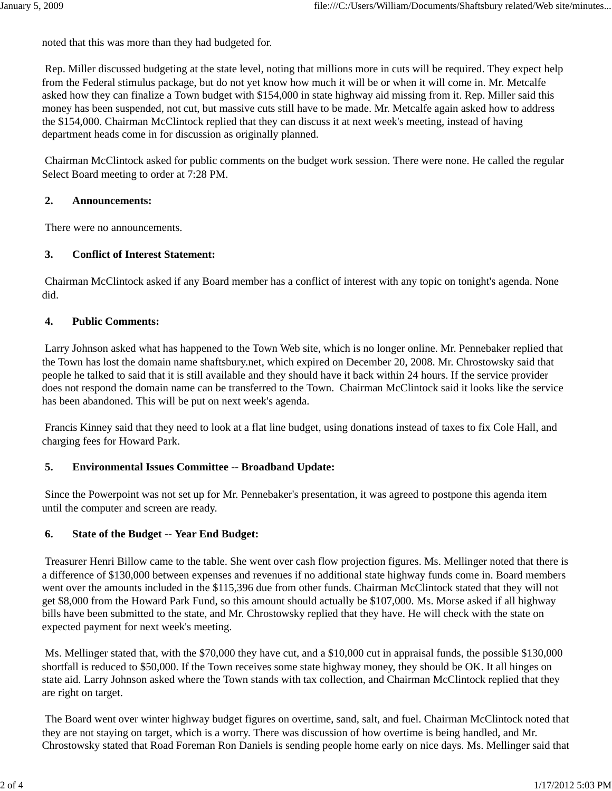noted that this was more than they had budgeted for.

Rep. Miller discussed budgeting at the state level, noting that millions more in cuts will be required. They expect help from the Federal stimulus package, but do not yet know how much it will be or when it will come in. Mr. Metcalfe asked how they can finalize a Town budget with \$154,000 in state highway aid missing from it. Rep. Miller said this money has been suspended, not cut, but massive cuts still have to be made. Mr. Metcalfe again asked how to address the \$154,000. Chairman McClintock replied that they can discuss it at next week's meeting, instead of having department heads come in for discussion as originally planned.

Chairman McClintock asked for public comments on the budget work session. There were none. He called the regular Select Board meeting to order at 7:28 PM.

## **2. Announcements:**

There were no announcements.

## **3. Conflict of Interest Statement:**

Chairman McClintock asked if any Board member has a conflict of interest with any topic on tonight's agenda. None did.

## **4. Public Comments:**

Larry Johnson asked what has happened to the Town Web site, which is no longer online. Mr. Pennebaker replied that the Town has lost the domain name shaftsbury.net, which expired on December 20, 2008. Mr. Chrostowsky said that people he talked to said that it is still available and they should have it back within 24 hours. If the service provider does not respond the domain name can be transferred to the Town. Chairman McClintock said it looks like the service has been abandoned. This will be put on next week's agenda.

Francis Kinney said that they need to look at a flat line budget, using donations instead of taxes to fix Cole Hall, and charging fees for Howard Park.

### **5. Environmental Issues Committee -- Broadband Update:**

Since the Powerpoint was not set up for Mr. Pennebaker's presentation, it was agreed to postpone this agenda item until the computer and screen are ready.

### **6. State of the Budget -- Year End Budget:**

Treasurer Henri Billow came to the table. She went over cash flow projection figures. Ms. Mellinger noted that there is a difference of \$130,000 between expenses and revenues if no additional state highway funds come in. Board members went over the amounts included in the \$115,396 due from other funds. Chairman McClintock stated that they will not get \$8,000 from the Howard Park Fund, so this amount should actually be \$107,000. Ms. Morse asked if all highway bills have been submitted to the state, and Mr. Chrostowsky replied that they have. He will check with the state on expected payment for next week's meeting.

Ms. Mellinger stated that, with the \$70,000 they have cut, and a \$10,000 cut in appraisal funds, the possible \$130,000 shortfall is reduced to \$50,000. If the Town receives some state highway money, they should be OK. It all hinges on state aid. Larry Johnson asked where the Town stands with tax collection, and Chairman McClintock replied that they are right on target.

The Board went over winter highway budget figures on overtime, sand, salt, and fuel. Chairman McClintock noted that they are not staying on target, which is a worry. There was discussion of how overtime is being handled, and Mr. Chrostowsky stated that Road Foreman Ron Daniels is sending people home early on nice days. Ms. Mellinger said that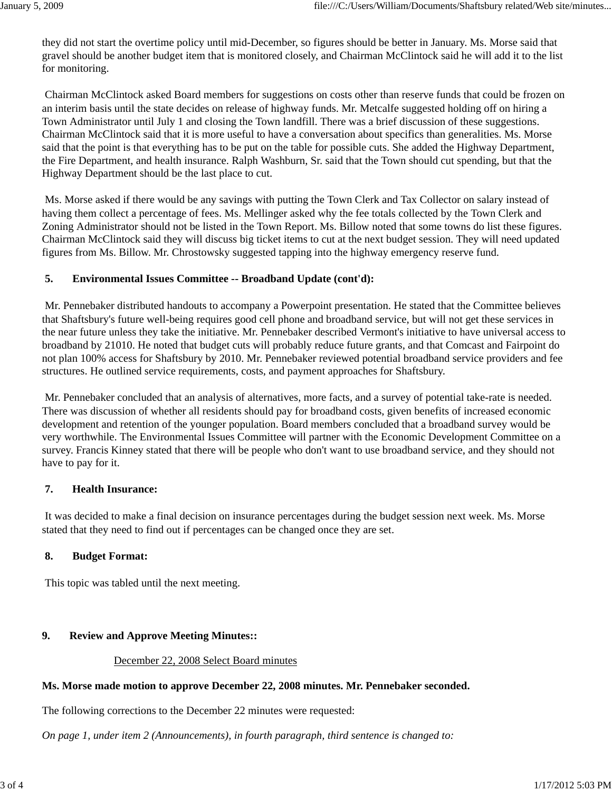they did not start the overtime policy until mid-December, so figures should be better in January. Ms. Morse said that gravel should be another budget item that is monitored closely, and Chairman McClintock said he will add it to the list for monitoring.

Chairman McClintock asked Board members for suggestions on costs other than reserve funds that could be frozen on an interim basis until the state decides on release of highway funds. Mr. Metcalfe suggested holding off on hiring a Town Administrator until July 1 and closing the Town landfill. There was a brief discussion of these suggestions. Chairman McClintock said that it is more useful to have a conversation about specifics than generalities. Ms. Morse said that the point is that everything has to be put on the table for possible cuts. She added the Highway Department, the Fire Department, and health insurance. Ralph Washburn, Sr. said that the Town should cut spending, but that the Highway Department should be the last place to cut.

Ms. Morse asked if there would be any savings with putting the Town Clerk and Tax Collector on salary instead of having them collect a percentage of fees. Ms. Mellinger asked why the fee totals collected by the Town Clerk and Zoning Administrator should not be listed in the Town Report. Ms. Billow noted that some towns do list these figures. Chairman McClintock said they will discuss big ticket items to cut at the next budget session. They will need updated figures from Ms. Billow. Mr. Chrostowsky suggested tapping into the highway emergency reserve fund.

### **5. Environmental Issues Committee -- Broadband Update (cont'd):**

Mr. Pennebaker distributed handouts to accompany a Powerpoint presentation. He stated that the Committee believes that Shaftsbury's future well-being requires good cell phone and broadband service, but will not get these services in the near future unless they take the initiative. Mr. Pennebaker described Vermont's initiative to have universal access to broadband by 21010. He noted that budget cuts will probably reduce future grants, and that Comcast and Fairpoint do not plan 100% access for Shaftsbury by 2010. Mr. Pennebaker reviewed potential broadband service providers and fee structures. He outlined service requirements, costs, and payment approaches for Shaftsbury.

Mr. Pennebaker concluded that an analysis of alternatives, more facts, and a survey of potential take-rate is needed. There was discussion of whether all residents should pay for broadband costs, given benefits of increased economic development and retention of the younger population. Board members concluded that a broadband survey would be very worthwhile. The Environmental Issues Committee will partner with the Economic Development Committee on a survey. Francis Kinney stated that there will be people who don't want to use broadband service, and they should not have to pay for it.

### **7. Health Insurance:**

It was decided to make a final decision on insurance percentages during the budget session next week. Ms. Morse stated that they need to find out if percentages can be changed once they are set.

### **8. Budget Format:**

This topic was tabled until the next meeting.

### **9. Review and Approve Meeting Minutes::**

#### December 22, 2008 Select Board minutes

### **Ms. Morse made motion to approve December 22, 2008 minutes. Mr. Pennebaker seconded.**

The following corrections to the December 22 minutes were requested:

*On page 1, under item 2 (Announcements), in fourth paragraph, third sentence is changed to:*